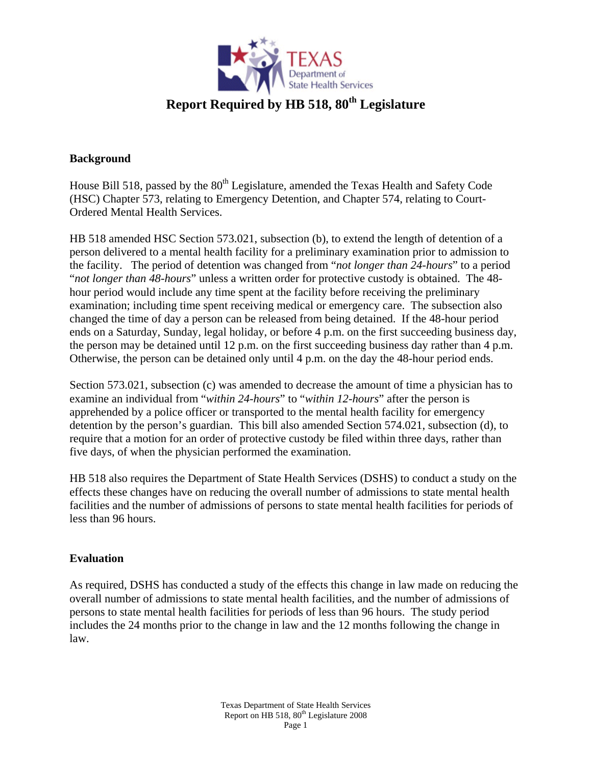

## **Background**

House Bill 518, passed by the 80<sup>th</sup> Legislature, amended the Texas Health and Safety Code (HSC) Chapter 573, relating to Emergency Detention, and Chapter 574, relating to Court-Ordered Mental Health Services.

HB 518 amended HSC Section 573.021, subsection (b), to extend the length of detention of a person delivered to a mental health facility for a preliminary examination prior to admission to the facility. The period of detention was changed from "*not longer than 24-hours*" to a period "*not longer than 48-hours*" unless a written order for protective custody is obtained. The 48 hour period would include any time spent at the facility before receiving the preliminary examination; including time spent receiving medical or emergency care. The subsection also changed the time of day a person can be released from being detained. If the 48-hour period ends on a Saturday, Sunday, legal holiday, or before 4 p.m. on the first succeeding business day, the person may be detained until 12 p.m. on the first succeeding business day rather than 4 p.m. Otherwise, the person can be detained only until 4 p.m. on the day the 48-hour period ends.

Section 573.021, subsection (c) was amended to decrease the amount of time a physician has to examine an individual from "*within 24-hours*" to "*within 12-hours*" after the person is apprehended by a police officer or transported to the mental health facility for emergency detention by the person's guardian. This bill also amended Section 574.021, subsection (d), to require that a motion for an order of protective custody be filed within three days, rather than five days, of when the physician performed the examination.

HB 518 also requires the Department of State Health Services (DSHS) to conduct a study on the effects these changes have on reducing the overall number of admissions to state mental health facilities and the number of admissions of persons to state mental health facilities for periods of less than 96 hours.

## **Evaluation**

As required, DSHS has conducted a study of the effects this change in law made on reducing the overall number of admissions to state mental health facilities, and the number of admissions of persons to state mental health facilities for periods of less than 96 hours. The study period includes the 24 months prior to the change in law and the 12 months following the change in law.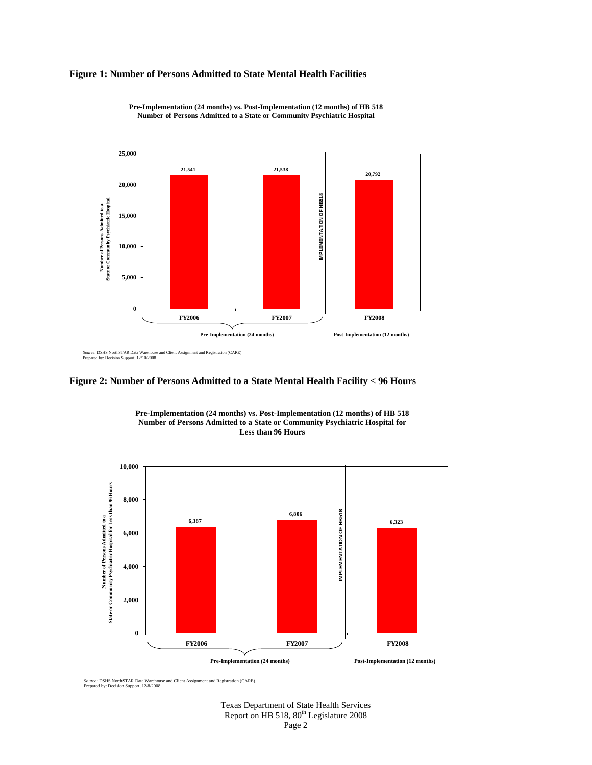## **Figure 1: Number of Persons Admitted to State Mental Health Facilities**



**Pre-Implementation (24 months) vs. Post-Implementation (12 months) of HB 518 Number of Persons Admitted to a State or Community Psychiatric Hospital** 

*Source:* DSHS NorthSTAR Data Warehouse and Client Assignment and Registration (CARE). Prepared by: Decision Support, 12/10/2008





**Pre-Implementation (24 months) vs. Post-Implementation (12 months) of HB 518 Number of Persons Admitted to a State or Community Psychiatric Hospital for Less than 96 Hours**

*Source:* DSHS NorthSTAR Data Warehouse and Client Assignment and Registration (CARE). Prepared by: Decision Support, 12/8/2008

Texas Department of State Health Services Report on HB 518, 80<sup>th</sup> Legislature 2008 Page 2